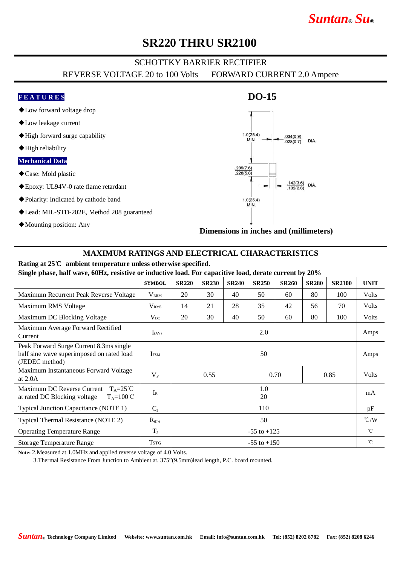# *Suntan***®** *Su***®**

## **SR220 THRU SR2100**

### SCHOTTKY BARRIER RECTIFIER

REVERSE VOLTAGE 20 to 100 Volts FORWARD CURRENT 2.0 Ampere

### **F E A T U R E S**

- ◆Low forward voltage drop
- ◆Low leakage current
- ◆High forward surge capability
- ◆High reliability

### **Mechanical Data**

- ◆Case: Mold plastic
- ◆Epoxy: UL94V-0 rate flame retardant
- ◆Polarity: Indicated by cathode band
- ◆Lead: MIL-STD-202E, Method 208 guaranteed
- ◆Mounting position: Any



**DO-15**

**Dimensions in inches and (millimeters)**

### **MAXIMUM RATINGS AND ELECTRICAL CHARACTERISTICS**

## **Rating at 25**℃ **ambient temperature unless otherwise specified.**

**Single phase, half wave, 60Hz, resistive or inductive load. For capacitive load, derate current by 20%**

|                                                                                                           | <b>SYMBOL</b>     | <b>SR220</b>         | <b>SR230</b> | <b>SR240</b> | <b>SR250</b> | <b>SR260</b> | <b>SR280</b> | <b>SR2100</b> | <b>UNIT</b>        |
|-----------------------------------------------------------------------------------------------------------|-------------------|----------------------|--------------|--------------|--------------|--------------|--------------|---------------|--------------------|
| Maximum Recurrent Peak Reverse Voltage                                                                    | $\rm V_{\rm RRM}$ | 20                   | 30           | 40           | 50           | 60           | 80           | 100           | Volts              |
| Maximum RMS Voltage                                                                                       | V <sub>RMS</sub>  | 14                   | 21           | 28           | 35           | 42           | 56           | 70            | Volts              |
| Maximum DC Blocking Voltage                                                                               | $V_{DC}$          | 20                   | 30           | 40           | 50           | 60           | 80           | 100           | Volts              |
| Maximum Average Forward Rectified<br>Current                                                              | $I_{(AV)}$        | 2.0                  |              |              |              |              |              |               | Amps               |
| Peak Forward Surge Current 8.3ms single<br>half sine wave superimposed on rated load<br>(JEDEC method)    | <b>IFSM</b>       | 50                   |              |              |              |              |              |               | Amps               |
| Maximum Instantaneous Forward Voltage<br>at $2.0A$                                                        | $V_{\rm F}$       | 0.55<br>0.70<br>0.85 |              |              |              |              | Volts        |               |                    |
| Maximum DC Reverse Current<br>$T_A = 25^{\circ}C$<br>at rated DC Blocking voltage<br>$T_A = 100^{\circ}C$ | $I_{R}$           | 1.0<br>20            |              |              |              |              |              |               | mA                 |
| <b>Typical Junction Capacitance (NOTE 1)</b>                                                              | $C_{J}$           | 110                  |              |              |              |              |              |               | pF                 |
| Typical Thermal Resistance (NOTE 2)                                                                       | $R_{\theta JA}$   | 50                   |              |              |              |              |              |               | $\rm ^{\circ}$ C/W |
| <b>Operating Temperature Range</b>                                                                        | $T_{J}$           | $-55$ to $+125$      |              |              |              |              |              |               | $^{\circ}$ C       |
| <b>Storage Temperature Range</b>                                                                          | <b>TSTG</b>       | $-55$ to $+150$      |              |              |              |              |              |               | $^{\circ}$ C       |

**Note:** 2.Measured at 1.0MHz and applied reverse voltage of 4.0 Volts.

3.Thermal Resistance From Junction to Ambient at. 375"(9.5mm)lead length, P.C. board mounted.